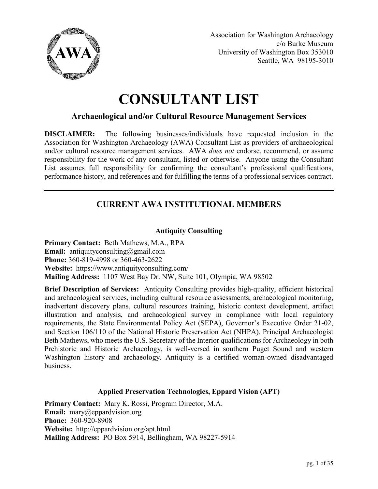

Association for Washington Archaeology c/o Burke Museum University of Washington Box 353010 Seattle, WA 98195-3010

# **CONSULTANT LIST**

# **Archaeological and/or Cultural Resource Management Services**

**DISCLAIMER:** The following businesses/individuals have requested inclusion in the Association for Washington Archaeology (AWA) Consultant List as providers of archaeological and/or cultural resource management services. AWA *does not* endorse, recommend, or assume responsibility for the work of any consultant, listed or otherwise. Anyone using the Consultant List assumes full responsibility for confirming the consultant's professional qualifications, performance history, and references and for fulfilling the terms of a professional services contract.

# **CURRENT AWA INSTITUTIONAL MEMBERS**

## **Antiquity Consulting**

**Primary Contact:** Beth Mathews, M.A., RPA **Email:** antiquityconsulting@gmail.com **Phone:** 360-819-4998 or 360-463-2622 **Website:** https://www.antiquityconsulting.com/ **Mailing Address:** 1107 West Bay Dr. NW, Suite 101, Olympia, WA 98502

**Brief Description of Services:** Antiquity Consulting provides high-quality, efficient historical and archaeological services, including cultural resource assessments, archaeological monitoring, inadvertent discovery plans, cultural resources training, historic context development, artifact illustration and analysis, and archaeological survey in compliance with local regulatory requirements, the State Environmental Policy Act (SEPA), Governor's Executive Order 21-02, and Section 106/110 of the National Historic Preservation Act (NHPA). Principal Archaeologist Beth Mathews, who meets the U.S. Secretary of the Interior qualifications for Archaeology in both Prehistoric and Historic Archaeology, is well-versed in southern Puget Sound and western Washington history and archaeology. Antiquity is a certified woman-owned disadvantaged business.

## **Applied Preservation Technologies, Eppard Vision (APT)**

**Primary Contact:** Mary K. Rossi, Program Director, M.A. **Email:** mary@eppardvision.org **Phone:** 360-920-8908 **Website:** http://eppardvision.org/apt.html **Mailing Address:** PO Box 5914, Bellingham, WA 98227-5914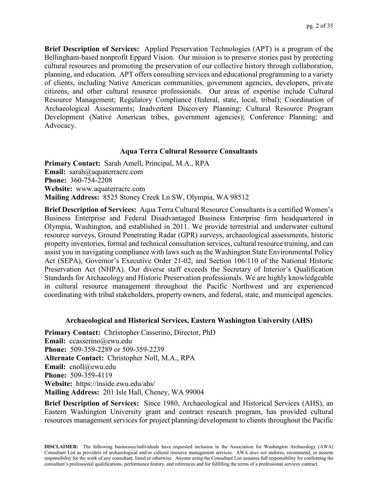**Brief Description of Services:** Applied Preservation Technologies (APT) is a program of the Bellingham-based nonprofit Eppard Vision. Our mission is to preserve stories past by protecting cultural resources and promoting the preservation of our collective history through collaboration, planning, and education. APT offers consulting services and educational programming to a variety of clients, including Native American communities, government agencies, developers, private citizens, and other cultural resource professionals. Our areas of expertise include Cultural Resource Management; Regulatory Compliance (federal, state, local, tribal); Coordination of Archaeological Assessments; Inadvertent Discovery Planning; Cultural Resource Program Development (Native American tribes, government agencies); Conference Planning; and Advocacy.

#### **Aqua Terra Cultural Resource Consultants**

**Primary Contact:** Sarah Amell, Principal, M.A., RPA **Email:** sarah@aquaterracrc.com **Phone:** 360-754-2208 **Website:** www.aquaterracrc.com **Mailing Address:** 8525 Stoney Creek Ln SW, Olympia, WA 98512

**Brief Description of Services:** Aqua Terra Cultural Resource Consultants is a certified Women's Business Enterprise and Federal Disadvantaged Business Enterprise firm headquartered in Olympia, Washington, and established in 2011. We provide terrestrial and underwater cultural resource surveys, Ground Penetrating Radar (GPR) surveys, archaeological assessments, historic property inventories, formal and technical consultation services, cultural resource training, and can assist you in navigating compliance with laws such as the Washington State Environmental Policy Act (SEPA), Governor's Executive Order 21-02, and Section 106/110 of the National Historic Preservation Act (NHPA). Our diverse staff exceeds the Secretary of Interior's Qualification Standards for Archaeology and Historic Preservation professionals. We are highly knowledgeable in cultural resource management throughout the Pacific Northwest and are experienced coordinating with tribal stakeholders, property owners, and federal, state, and municipal agencies.

#### **Archaeological and Historical Services, Eastern Washington University (AHS)**

**Primary Contact:** Christopher Casserino, Director, PhD **Email:** ccasserino@ewu.edu **Phone:** 509-359-2289 or 509-359-2239 **Alternate Contact:** Christopher Noll, M.A., RPA **Email:** cnoll@ewu.edu **Phone:** 509-359-4119 **Website:** https://inside.ewu.edu/ahs/ **Mailing Address:** 201 Isle Hall, Cheney, WA 99004

**Brief Description of Services:** Since 1980, Archaeological and Historical Services (AHS), an Eastern Washington University grant and contract research program, has provided cultural resources management services for project planning/development to clients throughout the Pacific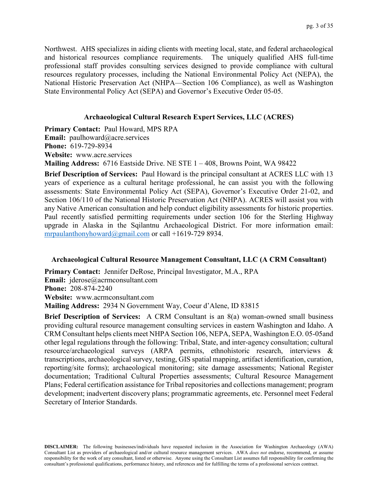Northwest. AHS specializes in aiding clients with meeting local, state, and federal archaeological and historical resources compliance requirements. The uniquely qualified AHS full-time professional staff provides consulting services designed to provide compliance with cultural resources regulatory processes, including the National Environmental Policy Act (NEPA), the National Historic Preservation Act (NHPA—Section 106 Compliance), as well as Washington State Environmental Policy Act (SEPA) and Governor's Executive Order 05-05.

## **Archaeological Cultural Research Expert Services, LLC (ACRES)**

**Primary Contact:** Paul Howard, MPS RPA **Email:** paulhoward@acre.services **Phone:** 619-729-8934 **Website:** www.acre.services **Mailing Address:** 6716 Eastside Drive. NE STE 1 – 408, Browns Point, WA 98422

**Brief Description of Services:** Paul Howard is the principal consultant at ACRES LLC with 13 years of experience as a cultural heritage professional, he can assist you with the following assessments: State Environmental Policy Act (SEPA), Governor's Executive Order 21-02, and Section 106/110 of the National Historic Preservation Act (NHPA). ACRES will assist you with any Native American consultation and help conduct eligibility assessments for historic properties. Paul recently satisfied permitting requirements under section 106 for the Sterling Highway upgrade in Alaska in the Sqilantnu Archaeological District. For more information email: [mrpaulanthonyhoward@gmail.com](mailto:mrpaulanthonyhoward@gmail.com) or call +1619-729 8934.

## **Archaeological Cultural Resource Management Consultant, LLC (A CRM Consultant)**

**Primary Contact:** Jennifer DeRose, Principal Investigator, M.A., RPA **Email:** jderose@acrmconsultant.com **Phone:** 208-874-2240 **Website:** www.acrmconsultant.com **Mailing Address:** 2934 N Government Way, Coeur d'Alene, ID 83815

**Brief Description of Services:** A CRM Consultant is an 8(a) woman-owned small business providing cultural resource management consulting services in eastern Washington and Idaho. A CRM Consultant helps clients meet NHPA Section 106, NEPA, SEPA, Washington E.O. 05-05and other legal regulations through the following: Tribal, State, and inter-agency consultation; cultural resource/archaeological surveys (ARPA permits, ethnohistoric research, interviews & transcriptions, archaeological survey, testing, GIS spatial mapping, artifact identification, curation, reporting/site forms); archaeological monitoring; site damage assessments; National Register documentation; Traditional Cultural Properties assessments; Cultural Resource Management Plans; Federal certification assistance for Tribal repositories and collections management; program development; inadvertent discovery plans; programmatic agreements, etc. Personnel meet Federal Secretary of Interior Standards.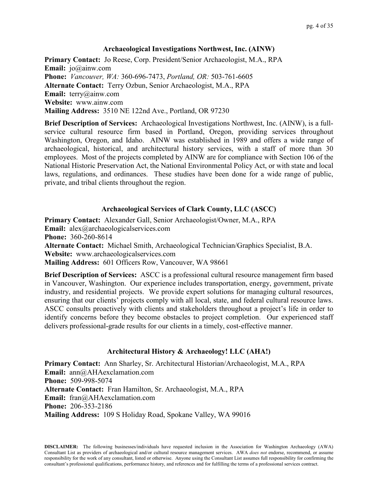## **Archaeological Investigations Northwest, Inc. (AINW)**

**Primary Contact:** Jo Reese, Corp. President/Senior Archaeologist, M.A., RPA **Email:** jo@ainw.com **Phone:** *Vancouver, WA:* 360-696-7473, *Portland, OR:* 503-761-6605 **Alternate Contact:** Terry Ozbun, Senior Archaeologist, M.A., RPA **Email:** terry@ainw.com **Website:** www.ainw.com **Mailing Address:** 3510 NE 122nd Ave., Portland, OR 97230

**Brief Description of Services:** Archaeological Investigations Northwest, Inc. (AINW), is a fullservice cultural resource firm based in Portland, Oregon, providing services throughout Washington, Oregon, and Idaho. AINW was established in 1989 and offers a wide range of archaeological, historical, and architectural history services, with a staff of more than 30 employees. Most of the projects completed by AINW are for compliance with Section 106 of the National Historic Preservation Act, the National Environmental Policy Act, or with state and local laws, regulations, and ordinances. These studies have been done for a wide range of public, private, and tribal clients throughout the region.

## **Archaeological Services of Clark County, LLC (ASCC)**

**Primary Contact:** Alexander Gall, Senior Archaeologist/Owner, M.A., RPA **Email:** alex@archaeologicalservices.com **Phone:** 360-260-8614 **Alternate Contact:** Michael Smith, Archaeological Technician/Graphics Specialist, B.A. **Website:** www.archaeologicalservices.com **Mailing Address:** 601 Officers Row, Vancouver, WA 98661

**Brief Description of Services:** ASCC is a professional cultural resource management firm based in Vancouver, Washington. Our experience includes transportation, energy, government, private industry, and residential projects. We provide expert solutions for managing cultural resources, ensuring that our clients' projects comply with all local, state, and federal cultural resource laws. ASCC consults proactively with clients and stakeholders throughout a project's life in order to identify concerns before they become obstacles to project completion. Our experienced staff delivers professional-grade results for our clients in a timely, cost-effective manner.

## **Architectural History & Archaeology! LLC (AHA!)**

**Primary Contact:** Ann Sharley, Sr. Architectural Historian/Archaeologist, M.A., RPA **Email:** ann@AHAexclamation.com **Phone:** 509-998-5074 **Alternate Contact:** Fran Hamilton, Sr. Archaeologist, M.A., RPA **Email:** fran@AHAexclamation.com **Phone:** 206-353-2186 **Mailing Address:** 109 S Holiday Road, Spokane Valley, WA 99016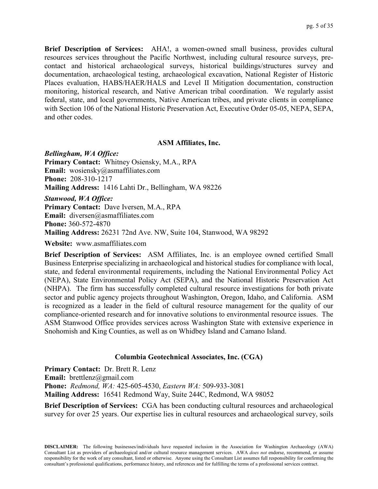**Brief Description of Services:** AHA!, a women-owned small business, provides cultural resources services throughout the Pacific Northwest, including cultural resource surveys, precontact and historical archaeological surveys, historical buildings/structures survey and documentation, archaeological testing, archaeological excavation, National Register of Historic Places evaluation, HABS/HAER/HALS and Level II Mitigation documentation, construction monitoring, historical research, and Native American tribal coordination. We regularly assist federal, state, and local governments, Native American tribes, and private clients in compliance with Section 106 of the National Historic Preservation Act, Executive Order 05-05, NEPA, SEPA, and other codes.

#### **ASM Affiliates, Inc.**

*Bellingham, WA Office:* **Primary Contact:** Whitney Osiensky, M.A., RPA **Email:** wosiensky@asmaffiliates.com **Phone:** 208-310-1217 **Mailing Address:** 1416 Lahti Dr., Bellingham, WA 98226 *Stanwood, WA Office:* **Primary Contact:** Dave Iversen, M.A., RPA **Email:** diversen@asmaffiliates.com **Phone:** 360-572-4870 **Mailing Address:** 26231 72nd Ave. NW, Suite 104, Stanwood, WA 98292

**Website:** www.asmaffiliates.com

**Brief Description of Services:** ASM Affiliates, Inc. is an employee owned certified Small Business Enterprise specializing in archaeological and historical studies for compliance with local, state, and federal environmental requirements, including the National Environmental Policy Act (NEPA), State Environmental Policy Act (SEPA), and the National Historic Preservation Act (NHPA). The firm has successfully completed cultural resource investigations for both private sector and public agency projects throughout Washington, Oregon, Idaho, and California. ASM is recognized as a leader in the field of cultural resource management for the quality of our compliance-oriented research and for innovative solutions to environmental resource issues. The ASM Stanwood Office provides services across Washington State with extensive experience in Snohomish and King Counties, as well as on Whidbey Island and Camano Island.

## **Columbia Geotechnical Associates, Inc. (CGA)**

**Primary Contact:** Dr. Brett R. Lenz **Email:** brettlenz@gmail.com **Phone:** *Redmond, WA:* 425-605-4530, *Eastern WA:* 509-933-3081 **Mailing Address:** 16541 Redmond Way, Suite 244C, Redmond, WA 98052

**Brief Description of Services:** CGA has been conducting cultural resources and archaeological survey for over 25 years. Our expertise lies in cultural resources and archaeological survey, soils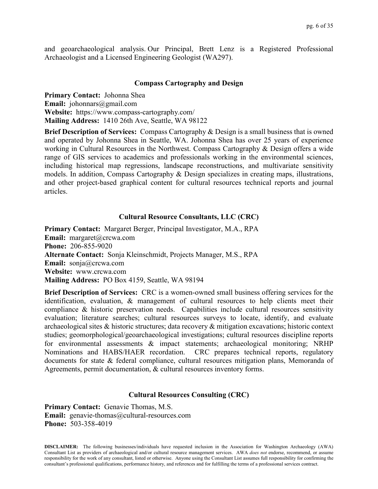and geoarchaeological analysis. Our Principal, Brett Lenz is a Registered Professional Archaeologist and a Licensed Engineering Geologist (WA297).

## **Compass Cartography and Design**

**Primary Contact:** Johonna Shea **Email:** johonnars@gmail.com **Website:** https://www.compass-cartography.com/ **Mailing Address:** 1410 26th Ave, Seattle, WA 98122

**Brief Description of Services:** Compass Cartography & Design is a small business that is owned and operated by Johonna Shea in Seattle, WA. Johonna Shea has over 25 years of experience working in Cultural Resources in the Northwest. Compass Cartography & Design offers a wide range of GIS services to academics and professionals working in the environmental sciences, including historical map regressions, landscape reconstructions, and multivariate sensitivity models. In addition, Compass Cartography & Design specializes in creating maps, illustrations, and other project-based graphical content for cultural resources technical reports and journal articles.

## **Cultural Resource Consultants, LLC (CRC)**

**Primary Contact:** Margaret Berger, Principal Investigator, M.A., RPA **Email:** margaret@crcwa.com **Phone:** 206-855-9020 **Alternate Contact:** Sonja Kleinschmidt, Projects Manager, M.S., RPA **Email:** sonja@crcwa.com **Website:** www.crcwa.com **Mailing Address:** PO Box 4159, Seattle, WA 98194

**Brief Description of Services:** CRC is a women-owned small business offering services for the identification, evaluation, & management of cultural resources to help clients meet their compliance & historic preservation needs. Capabilities include cultural resources sensitivity evaluation; literature searches; cultural resources surveys to locate, identify, and evaluate archaeological sites & historic structures; data recovery & mitigation excavations; historic context studies; geomorphological/geoarchaeological investigations; cultural resources discipline reports for environmental assessments & impact statements; archaeological monitoring; NRHP Nominations and HABS/HAER recordation. CRC prepares technical reports, regulatory documents for state & federal compliance, cultural resources mitigation plans, Memoranda of Agreements, permit documentation, & cultural resources inventory forms.

## **Cultural Resources Consulting (CRC)**

**Primary Contact:** Genavie Thomas, M.S. **Email:** genavie-thomas@cultural-resources.com **Phone:** 503-358-4019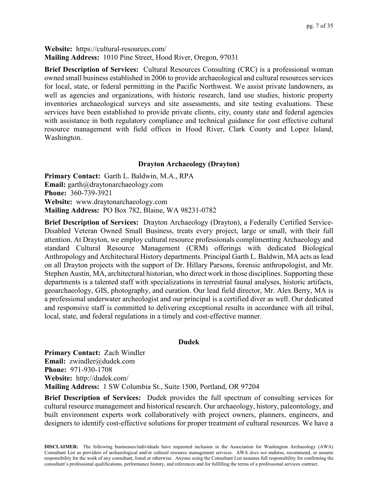**Website:** https://cultural-resources.com/ **Mailing Address:** 1010 Pine Street, Hood River, Oregon, 97031

**Brief Description of Services:** Cultural Resources Consulting (CRC) is a professional woman owned small business established in 2006 to provide archaeological and cultural resources services for local, state, or federal permitting in the Pacific Northwest. We assist private landowners, as well as agencies and organizations, with historic research, land use studies, historic property inventories archaeological surveys and site assessments, and site testing evaluations. These services have been established to provide private clients, city, county state and federal agencies with assistance in both regulatory compliance and technical guidance for cost effective cultural resource management with field offices in Hood River, Clark County and Lopez Island, Washington.

## **Drayton Archaeology (Drayton)**

**Primary Contact:** Garth L. Baldwin, M.A., RPA **Email:** garth@draytonarchaeology.com **Phone:** 360-739-3921 **Website:** www.draytonarchaeology.com **Mailing Address:** PO Box 782, Blaine, WA 98231-0782

**Brief Description of Services:** Drayton Archaeology (Drayton), a Federally Certified Service-Disabled Veteran Owned Small Business, treats every project, large or small, with their full attention. At Drayton, we employ cultural resource professionals complimenting Archaeology and standard Cultural Resource Management (CRM) offerings with dedicated Biological Anthropology and Architectural History departments. Principal Garth L. Baldwin, MA acts as lead on all Drayton projects with the support of Dr. Hillary Parsons, forensic anthropologist, and Mr. Stephen Austin, MA, architectural historian, who direct work in those disciplines. Supporting these departments is a talented staff with specializations in terrestrial faunal analyses, historic artifacts, geoarchaeology, GIS, photography, and curation. Our lead field director, Mr. Alex Berry, MA is a professional underwater archeologist and our principal is a certified diver as well. Our dedicated and responsive staff is committed to delivering exceptional results in accordance with all tribal, local, state, and federal regulations in a timely and cost-effective manner.

## **Dudek**

**Primary Contact:** Zach Windler **Email:** zwindler@dudek.com **Phone:** 971-930-1708 **Website:** http://dudek.com/ **Mailing Address:** 1 SW Columbia St., Suite 1500, Portland, OR 97204

**Brief Description of Services:** Dudek provides the full spectrum of consulting services for cultural resource management and historical research. Our archaeology, history, paleontology, and built environment experts work collaboratively with project owners, planners, engineers, and designers to identify cost-effective solutions for proper treatment of cultural resources. We have a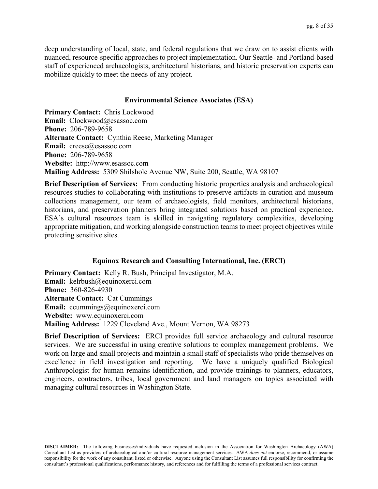deep understanding of local, state, and federal regulations that we draw on to assist clients with nuanced, resource-specific approaches to project implementation. Our Seattle- and Portland-based staff of experienced archaeologists, architectural historians, and historic preservation experts can mobilize quickly to meet the needs of any project.

## **Environmental Science Associates (ESA)**

**Primary Contact:** Chris Lockwood **Email:** Clockwood@esassoc.com **Phone:** 206-789-9658 **Alternate Contact:** Cynthia Reese, Marketing Manager **Email:** creese@esassoc.com **Phone:** 206-789-9658 **Website:** http://www.esassoc.com **Mailing Address:** 5309 Shilshole Avenue NW, Suite 200, Seattle, WA 98107

**Brief Description of Services:** From conducting historic properties analysis and archaeological resources studies to collaborating with institutions to preserve artifacts in curation and museum collections management, our team of archaeologists, field monitors, architectural historians, historians, and preservation planners bring integrated solutions based on practical experience. ESA's cultural resources team is skilled in navigating regulatory complexities, developing appropriate mitigation, and working alongside construction teams to meet project objectives while protecting sensitive sites.

## **Equinox Research and Consulting International, Inc. (ERCI)**

**Primary Contact:** Kelly R. Bush, Principal Investigator, M.A. **Email:** kelrbush@equinoxerci.com **Phone:** 360-826-4930 **Alternate Contact:** Cat Cummings **Email:** ccummings@equinoxerci.com **Website:** www.equinoxerci.com **Mailing Address:** 1229 Cleveland Ave., Mount Vernon, WA 98273

**Brief Description of Services:** ERCI provides full service archaeology and cultural resource services. We are successful in using creative solutions to complex management problems. We work on large and small projects and maintain a small staff of specialists who pride themselves on excellence in field investigation and reporting. We have a uniquely qualified Biological Anthropologist for human remains identification, and provide trainings to planners, educators, engineers, contractors, tribes, local government and land managers on topics associated with managing cultural resources in Washington State.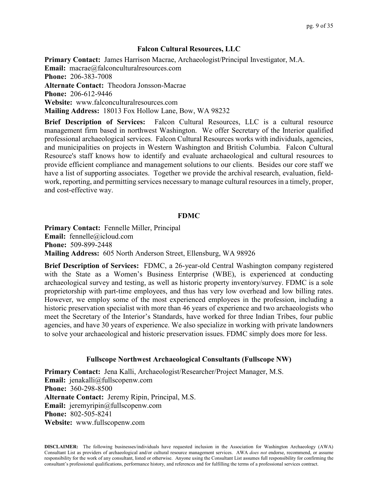## **Falcon Cultural Resources, LLC**

**Primary Contact:** James Harrison Macrae, Archaeologist/Principal Investigator, M.A. **Email:** macrae@falconculturalresources.com **Phone:** 206-383-7008 **Alternate Contact:** Theodora Jonsson-Macrae **Phone:** 206-612-9446 **Website:** www.falconculturalresources.com **Mailing Address:** 18013 Fox Hollow Lane, Bow, WA 98232

**Brief Description of Services:** Falcon Cultural Resources, LLC is a cultural resource management firm based in northwest Washington. We offer Secretary of the Interior qualified professional archaeological services. Falcon Cultural Resources works with individuals, agencies, and municipalities on projects in Western Washington and British Columbia. Falcon Cultural Resource's staff knows how to identify and evaluate archaeological and cultural resources to provide efficient compliance and management solutions to our clients. Besides our core staff we have a list of supporting associates. Together we provide the archival research, evaluation, fieldwork, reporting, and permitting services necessary to manage cultural resources in a timely, proper, and cost-effective way.

## **FDMC**

**Primary Contact:** Fennelle Miller, Principal **Email:** fennelle@icloud.com **Phone:** 509-899-2448 **Mailing Address:** 605 North Anderson Street, Ellensburg, WA 98926

**Brief Description of Services:** FDMC, a 26-year-old Central Washington company registered with the State as a Women's Business Enterprise (WBE), is experienced at conducting archaeological survey and testing, as well as historic property inventory/survey. FDMC is a sole proprietorship with part-time employees, and thus has very low overhead and low billing rates. However, we employ some of the most experienced employees in the profession, including a historic preservation specialist with more than 46 years of experience and two archaeologists who meet the Secretary of the Interior's Standards, have worked for three Indian Tribes, four public agencies, and have 30 years of experience. We also specialize in working with private landowners to solve your archaeological and historic preservation issues. FDMC simply does more for less.

## **Fullscope Northwest Archaeological Consultants (Fullscope NW)**

**Primary Contact:** Jena Kalli, Archaeologist/Researcher/Project Manager, M.S. **Email:** jenakalli@fullscopenw.com **Phone:** 360-298-8500 **Alternate Contact:** Jeremy Ripin, Principal, M.S. **Email:** jeremyripin@fullscopenw.com **Phone:** 802-505-8241 **Website:** www.fullscopenw.com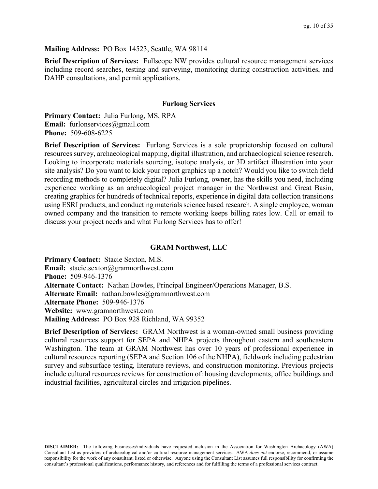## **Mailing Address:** PO Box 14523, Seattle, WA 98114

**Brief Description of Services:** Fullscope NW provides cultural resource management services including record searches, testing and surveying, monitoring during construction activities, and DAHP consultations, and permit applications.

#### **Furlong Services**

**Primary Contact:** Julia Furlong, MS, RPA **Email:** furlonservices@gmail.com **Phone:** 509-608-6225

**Brief Description of Services:** Furlong Services is a sole proprietorship focused on cultural resources survey, archaeological mapping, digital illustration, and archaeological science research. Looking to incorporate materials sourcing, isotope analysis, or 3D artifact illustration into your site analysis? Do you want to kick your report graphics up a notch? Would you like to switch field recording methods to completely digital? Julia Furlong, owner, has the skills you need, including experience working as an archaeological project manager in the Northwest and Great Basin, creating graphics for hundreds of technical reports, experience in digital data collection transitions using ESRI products, and conducting materials science based research. A single employee, woman owned company and the transition to remote working keeps billing rates low. Call or email to discuss your project needs and what Furlong Services has to offer!

#### **GRAM Northwest, LLC**

**Primary Contact:** Stacie Sexton, M.S. **Email:** stacie.sexton@gramnorthwest.com **Phone:** 509-946-1376 **Alternate Contact:** Nathan Bowles, Principal Engineer/Operations Manager, B.S. Alternate Email: nathan.bowles@gramnorthwest.com **Alternate Phone:** 509-946-1376 **Website:** www.gramnorthwest.com **Mailing Address:** PO Box 928 Richland, WA 99352

**Brief Description of Services:** GRAM Northwest is a woman-owned small business providing cultural resources support for SEPA and NHPA projects throughout eastern and southeastern Washington. The team at GRAM Northwest has over 10 years of professional experience in cultural resources reporting (SEPA and Section 106 of the NHPA), fieldwork including pedestrian survey and subsurface testing, literature reviews, and construction monitoring. Previous projects include cultural resources reviews for construction of: housing developments, office buildings and industrial facilities, agricultural circles and irrigation pipelines.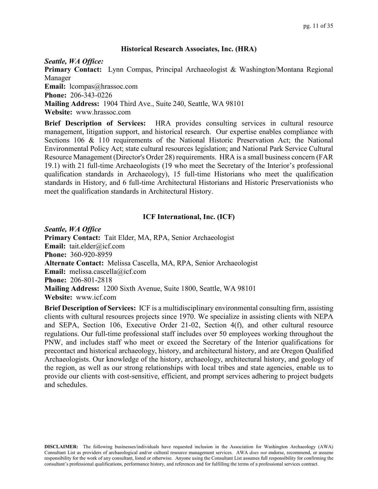## **Historical Research Associates, Inc. (HRA)**

*Seattle, WA Office:*

**Primary Contact:** Lynn Compas, Principal Archaeologist & Washington/Montana Regional Manager

**Email:** lcompas@hrassoc.com

**Phone:** 206-343-0226

**Mailing Address:** 1904 Third Ave., Suite 240, Seattle, WA 98101

**Website:** www.hrassoc.com

**Brief Description of Services:** HRA provides consulting services in cultural resource management, litigation support, and historical research. Our expertise enables compliance with Sections 106 & 110 requirements of the National Historic Preservation Act; the National Environmental Policy Act; state cultural resources legislation; and National Park Service Cultural Resource Management (Director's Order 28) requirements. HRA is a small business concern (FAR 19.1) with 21 full-time Archaeologists (19 who meet the Secretary of the Interior's professional qualification standards in Archaeology), 15 full-time Historians who meet the qualification standards in History, and 6 full-time Architectural Historians and Historic Preservationists who meet the qualification standards in Architectural History.

## **ICF International, Inc. (ICF)**

*Seattle, WA Office* **Primary Contact:** Tait Elder, MA, RPA, Senior Archaeologist **Email:** tait.elder@icf.com **Phone:** 360-920-8959 **Alternate Contact:** Melissa Cascella, MA, RPA, Senior Archaeologist **Email:** melissa.cascella@icf.com **Phone:** 206-801-2818 **Mailing Address:** 1200 Sixth Avenue, Suite 1800, Seattle, WA 98101 **Website:** www.icf.com

**Brief Description of Services:** ICF is a multidisciplinary environmental consulting firm, assisting clients with cultural resources projects since 1970. We specialize in assisting clients with NEPA and SEPA, Section 106, Executive Order 21-02, Section 4(f), and other cultural resource regulations. Our full-time professional staff includes over 50 employees working throughout the PNW, and includes staff who meet or exceed the Secretary of the Interior qualifications for precontact and historical archaeology, history, and architectural history, and are Oregon Qualified Archaeologists. Our knowledge of the history, archaeology, architectural history, and geology of the region, as well as our strong relationships with local tribes and state agencies, enable us to provide our clients with cost-sensitive, efficient, and prompt services adhering to project budgets and schedules.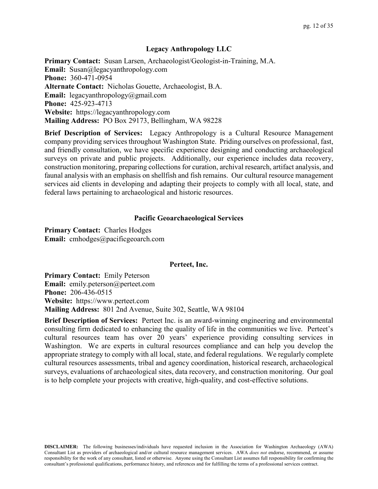#### **Legacy Anthropology LLC**

**Primary Contact:** Susan Larsen, Archaeologist/Geologist-in-Training, M.A. **Email:** Susan@legacyanthropology.com **Phone:** 360-471-0954 **Alternate Contact:** Nicholas Gouette, Archaeologist, B.A. **Email:** legacyanthropology@gmail.com **Phone:** 425-923-4713 **Website:** https://legacyanthropology.com **Mailing Address:** PO Box 29173, Bellingham, WA 98228

**Brief Description of Services:** Legacy Anthropology is a Cultural Resource Management company providing services throughout Washington State. Priding ourselves on professional, fast, and friendly consultation, we have specific experience designing and conducting archaeological surveys on private and public projects. Additionally, our experience includes data recovery, construction monitoring, preparing collections for curation, archival research, artifact analysis, and faunal analysis with an emphasis on shellfish and fish remains. Our cultural resource management services aid clients in developing and adapting their projects to comply with all local, state, and federal laws pertaining to archaeological and historic resources.

#### **Pacific Geoarchaeological Services**

**Primary Contact:** Charles Hodges **Email:** cmhodges@pacificgeoarch.com

#### **Perteet, Inc.**

**Primary Contact:** Emily Peterson **Email:** emily.peterson@perteet.com **Phone:** 206-436-0515 **Website:** https://www.perteet.com **Mailing Address:** 801 2nd Avenue, Suite 302, Seattle, WA 98104

**Brief Description of Services:** Perteet Inc. is an award-winning engineering and environmental consulting firm dedicated to enhancing the quality of life in the communities we live. Perteet's cultural resources team has over 20 years' experience providing consulting services in Washington. We are experts in cultural resources compliance and can help you develop the appropriate strategy to comply with all local, state, and federal regulations. We regularly complete cultural resources assessments, tribal and agency coordination, historical research, archaeological surveys, evaluations of archaeological sites, data recovery, and construction monitoring. Our goal is to help complete your projects with creative, high-quality, and cost-effective solutions.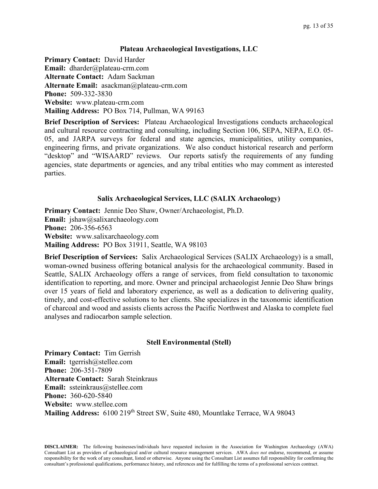## **Plateau Archaeological Investigations, LLC**

**Primary Contact:** David Harder **Email:** dharder@plateau-crm.com **Alternate Contact:** Adam Sackman **Alternate Email:** asackman@plateau-crm.com **Phone:** 509-332-3830 **Website:** www.plateau-crm.com **Mailing Address:** PO Box 714, Pullman, WA 99163

**Brief Description of Services:** Plateau Archaeological Investigations conducts archaeological and cultural resource contracting and consulting, including Section 106, SEPA, NEPA, E.O. 05- 05, and JARPA surveys for federal and state agencies, municipalities, utility companies, engineering firms, and private organizations. We also conduct historical research and perform "desktop" and "WISAARD" reviews. Our reports satisfy the requirements of any funding agencies, state departments or agencies, and any tribal entities who may comment as interested parties.

## **Salix Archaeological Services, LLC (SALIX Archaeology)**

**Primary Contact:** Jennie Deo Shaw, Owner/Archaeologist, Ph.D. **Email:** jshaw@salixarchaeology.com **Phone:** 206-356-6563 **Website:** www.salixarchaeology.com **Mailing Address:** PO Box 31911, Seattle, WA 98103

**Brief Description of Services:** Salix Archaeological Services (SALIX Archaeology) is a small, woman-owned business offering botanical analysis for the archaeological community. Based in Seattle, SALIX Archaeology offers a range of services, from field consultation to taxonomic identification to reporting, and more. Owner and principal archaeologist Jennie Deo Shaw brings over 15 years of field and laboratory experience, as well as a dedication to delivering quality, timely, and cost-effective solutions to her clients. She specializes in the taxonomic identification of charcoal and wood and assists clients across the Pacific Northwest and Alaska to complete fuel analyses and radiocarbon sample selection.

## **Stell Environmental (Stell)**

**Primary Contact:** Tim Gerrish **Email:** tgerrish@stellee.com **Phone:** 206-351-7809 **Alternate Contact:** Sarah Steinkraus **Email:** ssteinkraus@stellee.com **Phone:** 360-620-5840 **Website:** www.stellee.com **Mailing Address:** 6100 219th Street SW, Suite 480, Mountlake Terrace, WA 98043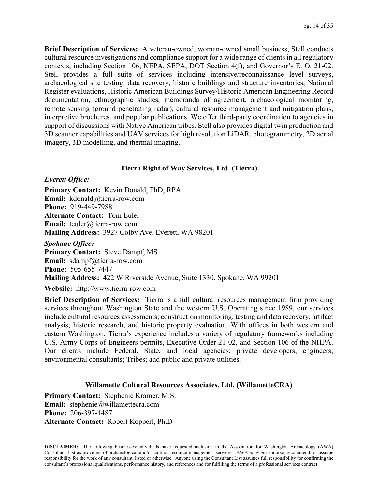**Brief Description of Services:** A veteran-owned, woman-owned small business, Stell conducts cultural resource investigations and compliance support for a wide range of clients in all regulatory contexts, including Section 106, NEPA, SEPA, DOT Section 4(f), and Governor's E. O. 21-02. Stell provides a full suite of services including intensive/reconnaissance level surveys, archaeological site testing, data recovery, historic buildings and structure inventories, National Register evaluations, Historic American Buildings Survey/Historic American Engineering Record documentation, ethnographic studies, memoranda of agreement, archaeological monitoring, remote sensing (ground penetrating radar), cultural resource management and mitigation plans, interpretive brochures, and popular publications. We offer third-party coordination to agencies in support of discussions with Native American tribes. Stell also provides digital twin production and 3D scanner capabilities and UAV services for high resolution LiDAR, photogrammetry, 2D aerial imagery, 3D modelling, and thermal imaging.

## **Tierra Right of Way Services, Ltd. (Tierra)**

#### *Everett Office:*

**Primary Contact:** Kevin Donald, PhD, RPA **Email:** kdonald@tierra-row.com **Phone:** 919-449-7988 **Alternate Contact:** Tom Euler **Email:** teuler@tierra-row.com **Mailing Address:** 3927 Colby Ave, Everett, WA 98201

*Spokane Office:* **Primary Contact:** Steve Dampf, MS **Email:** sdampf@tierra-row.com **Phone:** 505-655-7447 **Mailing Address:** 422 W Riverside Avenue, Suite 1330, Spokane, WA 99201

**Website:** http://www.tierra-row.com

**Brief Description of Services:** Tierra is a full cultural resources management firm providing services throughout Washington State and the western U.S. Operating since 1989, our services include cultural resources assessments; construction monitoring; testing and data recovery; artifact analysis; historic research; and historic property evaluation. With offices in both western and eastern Washington, Tierra's experience includes a variety of regulatory frameworks including U.S. Army Corps of Engineers permits, Executive Order 21-02, and Section 106 of the NHPA. Our clients include Federal, State, and local agencies; private developers; engineers; environmental consultants; Tribes; and public and private utilities.

## **Willamette Cultural Resources Associates, Ltd. (WillametteCRA)**

**Primary Contact:** Stephenie Kramer, M.S. **Email:** stephenie@willamettecra.com **Phone:** 206-397-1487 **Alternate Contact:** Robert Kopperl, Ph.D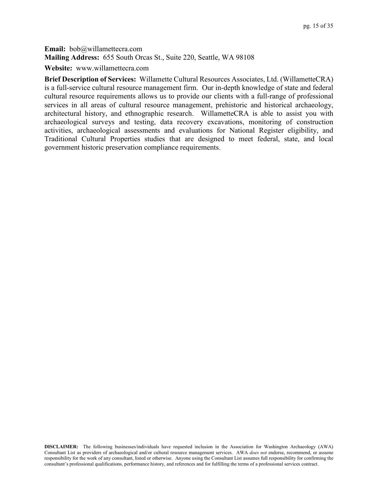**Email:** bob@willamettecra.com **Mailing Address:** 655 South Orcas St., Suite 220, Seattle, WA 98108

**Website:** www.willamettecra.com

**Brief Description of Services:** Willamette Cultural Resources Associates, Ltd. (WillametteCRA) is a full-service cultural resource management firm. Our in-depth knowledge of state and federal cultural resource requirements allows us to provide our clients with a full-range of professional services in all areas of cultural resource management, prehistoric and historical archaeology, architectural history, and ethnographic research. WillametteCRA is able to assist you with archaeological surveys and testing, data recovery excavations, monitoring of construction activities, archaeological assessments and evaluations for National Register eligibility, and Traditional Cultural Properties studies that are designed to meet federal, state, and local government historic preservation compliance requirements.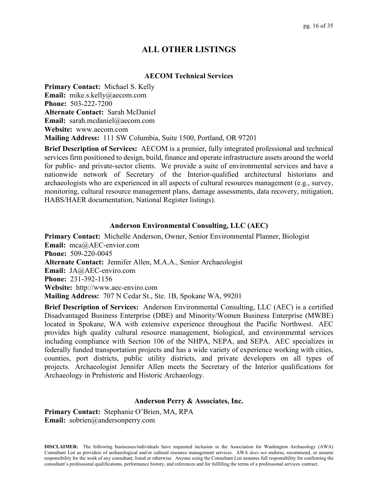# **ALL OTHER LISTINGS**

## **AECOM Technical Services**

**Primary Contact:** Michael S. Kelly **Email:** mike.s.kelly@aecom.com **Phone:** 503-222-7200 **Alternate Contact:** Sarah McDaniel **Email:** sarah.mcdaniel@aecom.com **Website:** www.aecom.com **Mailing Address:** 111 SW Columbia, Suite 1500, Portland, OR 97201

**Brief Description of Services:** AECOM is a premier, fully integrated professional and technical services firm positioned to design, build, finance and operate infrastructure assets around the world for public- and private-sector clients. We provide a suite of environmental services and have a nationwide network of Secretary of the Interior-qualified architectural historians and archaeologists who are experienced in all aspects of cultural resources management (e.g., survey, monitoring, cultural resource management plans, damage assessments, data recovery, mitigation, HABS/HAER documentation, National Register listings).

## **Anderson Environmental Consulting, LLC (AEC)**

**Primary Contact:** Michelle Anderson, Owner, Senior Environmental Planner, Biologist **Email:** mca@AEC-envior.com **Phone:** 509-220-0045 **Alternate Contact:** Jennifer Allen, M.A.A., Senior Archaeologist **Email:** JA@AEC-enviro.com **Phone:** 231-392-1156 **Website:** http://www.aec-enviro.com **Mailing Address:** 707 N Cedar St., Ste. 1B, Spokane WA, 99201

**Brief Description of Services:** Anderson Environmental Consulting, LLC (AEC) is a certified Disadvantaged Business Enterprise (DBE) and Minority/Women Business Enterprise (MWBE) located in Spokane, WA with extensive experience throughout the Pacific Northwest. AEC provides high quality cultural resource management, biological, and environmental services including compliance with Section 106 of the NHPA, NEPA, and SEPA. AEC specializes in federally funded transportation projects and has a wide variety of experience working with cities, counties, port districts, public utility districts, and private developers on all types of projects. Archaeologist Jennifer Allen meets the Secretary of the Interior qualifications for Archaeology in Prehistoric and Historic Archaeology.

## **Anderson Perry & Associates, Inc.**

**Primary Contact:** Stephanie O'Brien, MA, RPA **Email:** sobrien@andersonperry.com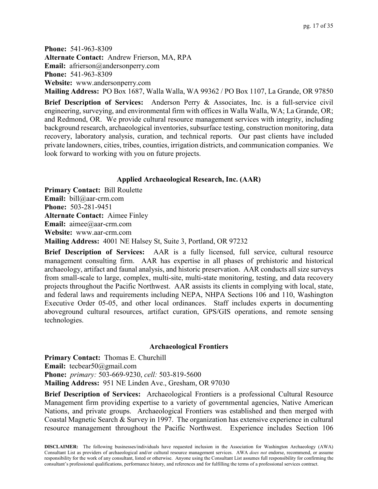**Phone:** 541-963-8309 **Alternate Contact:** Andrew Frierson, MA, RPA Email: afrierson@andersonperry.com **Phone:** 541-963-8309 **Website:** www.andersonperry.com

**Mailing Address:** PO Box 1687, Walla Walla, WA 99362 / PO Box 1107, La Grande, OR 97850

**Brief Description of Services:** Anderson Perry & Associates, Inc. is a full-service civil engineering, surveying, and environmental firm with offices in Walla Walla, WA; La Grande, OR; and Redmond, OR. We provide cultural resource management services with integrity, including background research, archaeological inventories, subsurface testing, construction monitoring, data recovery, laboratory analysis, curation, and technical reports. Our past clients have included private landowners, cities, tribes, counties, irrigation districts, and communication companies. We look forward to working with you on future projects.

## **Applied Archaeological Research, Inc. (AAR)**

**Primary Contact:** Bill Roulette **Email:** bill@aar-crm.com **Phone:** 503-281-9451 **Alternate Contact:** Aimee Finley **Email:** aimee@aar-crm.com **Website:** www.aar-crm.com **Mailing Address:** 4001 NE Halsey St, Suite 3, Portland, OR 97232

**Brief Description of Services:** AAR is a fully licensed, full service, cultural resource management consulting firm. AAR has expertise in all phases of prehistoric and historical archaeology, artifact and faunal analysis, and historic preservation. AAR conducts all size surveys from small-scale to large, complex, multi-site, multi-state monitoring, testing, and data recovery projects throughout the Pacific Northwest. AAR assists its clients in complying with local, state, and federal laws and requirements including NEPA, NHPA Sections 106 and 110, Washington Executive Order 05-05, and other local ordinances. Staff includes experts in documenting aboveground cultural resources, artifact curation, GPS/GIS operations, and remote sensing technologies.

## **Archaeological Frontiers**

**Primary Contact:** Thomas E. Churchill **Email:** tecbear50@gmail.com **Phone:** *primary:* 503-669-9230, *cell:* 503-819-5600 **Mailing Address:** 951 NE Linden Ave., Gresham, OR 97030

**Brief Description of Services:** Archaeological Frontiers is a professional Cultural Resource Management firm providing expertise to a variety of governmental agencies, Native American Nations, and private groups. Archaeological Frontiers was established and then merged with Coastal Magnetic Search & Survey in 1997. The organization has extensive experience in cultural resource management throughout the Pacific Northwest. Experience includes Section 106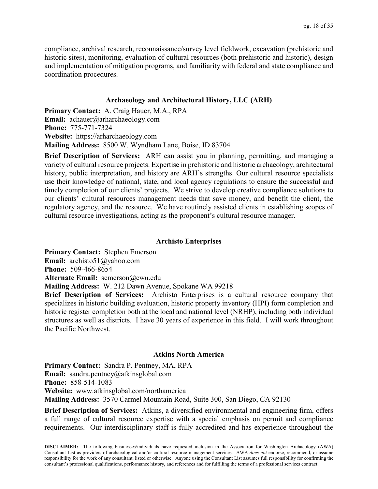compliance, archival research, reconnaissance/survey level fieldwork, excavation (prehistoric and historic sites), monitoring, evaluation of cultural resources (both prehistoric and historic), design and implementation of mitigation programs, and familiarity with federal and state compliance and coordination procedures.

## **Archaeology and Architectural History, LLC (ARH)**

**Primary Contact:** A. Craig Hauer, M.A., RPA **Email:** achauer@arharchaeology.com **Phone:** 775-771-7324 **Website:** https://arharchaeology.com **Mailing Address:** 8500 W. Wyndham Lane, Boise, ID 83704

**Brief Description of Services:** ARH can assist you in planning, permitting, and managing a variety of cultural resource projects. Expertise in prehistoric and historic archaeology, architectural history, public interpretation, and history are ARH's strengths. Our cultural resource specialists use their knowledge of national, state, and local agency regulations to ensure the successful and timely completion of our clients' projects. We strive to develop creative compliance solutions to our clients' cultural resources management needs that save money, and benefit the client, the regulatory agency, and the resource. We have routinely assisted clients in establishing scopes of cultural resource investigations, acting as the proponent's cultural resource manager.

## **Archisto Enterprises**

**Primary Contact:** Stephen Emerson **Email:** archisto51@yahoo.com **Phone:** 509-466-8654 **Alternate Email:** semerson@ewu.edu **Mailing Address:** W. 212 Dawn Avenue, Spokane WA 99218 **Brief Description of Services:** Archisto Enterprises is a cultural resource company that specializes in historic building evaluation, historic property inventory (HPI) form completion and historic register completion both at the local and national level (NRHP), including both individual structures as well as districts. I have 30 years of experience in this field. I will work throughout the Pacific Northwest.

#### **Atkins North America**

**Primary Contact:** Sandra P. Pentney, MA, RPA **Email:** sandra.pentney@atkinsglobal.com **Phone:** 858-514-1083 **Website:** www.atkinsglobal.com/northamerica **Mailing Address:** 3570 Carmel Mountain Road, Suite 300, San Diego, CA 92130

**Brief Description of Services:** Atkins, a diversified environmental and engineering firm, offers a full range of cultural resource expertise with a special emphasis on permit and compliance requirements. Our interdisciplinary staff is fully accredited and has experience throughout the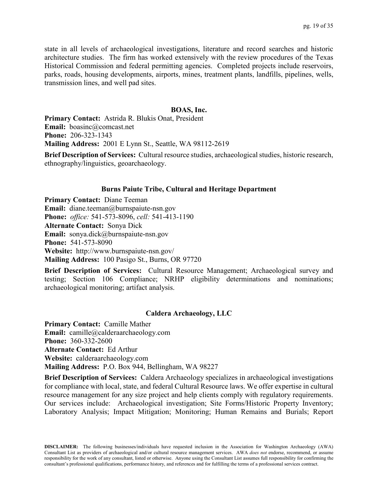state in all levels of archaeological investigations, literature and record searches and historic architecture studies. The firm has worked extensively with the review procedures of the Texas Historical Commission and federal permitting agencies. Completed projects include reservoirs, parks, roads, housing developments, airports, mines, treatment plants, landfills, pipelines, wells, transmission lines, and well pad sites.

#### **BOAS, Inc.**

**Primary Contact:** Astrida R. Blukis Onat, President **Email:** boasinc@comcast.net **Phone:** 206-323-1343 **Mailing Address:** 2001 E Lynn St., Seattle, WA 98112-2619

**Brief Description of Services:** Cultural resource studies, archaeological studies, historic research, ethnography/linguistics, geoarchaeology.

#### **Burns Paiute Tribe, Cultural and Heritage Department**

**Primary Contact:** Diane Teeman **Email:** diane.teeman@burnspaiute-nsn.gov **Phone:** *office:* 541-573-8096, *cell:* 541-413-1190 **Alternate Contact:** Sonya Dick **Email:** sonya.dick@burnspaiute-nsn.gov **Phone:** 541-573-8090 **Website:** http://www.burnspaiute-nsn.gov/ **Mailing Address:** 100 Pasigo St., Burns, OR 97720

**Brief Description of Services:** Cultural Resource Management; Archaeological survey and testing; Section 106 Compliance; NRHP eligibility determinations and nominations; archaeological monitoring; artifact analysis.

#### **Caldera Archaeology, LLC**

**Primary Contact:** Camille Mather **Email:** camille@calderaarchaeology.com **Phone:** 360-332-2600 **Alternate Contact:** Ed Arthur **Website:** calderaarchaeology.com **Mailing Address:** P.O. Box 944, Bellingham, WA 98227

**Brief Description of Services:** Caldera Archaeology specializes in archaeological investigations for compliance with local, state, and federal Cultural Resource laws. We offer expertise in cultural resource management for any size project and help clients comply with regulatory requirements. Our services include: Archaeological investigation; Site Forms/Historic Property Inventory; Laboratory Analysis; Impact Mitigation; Monitoring; Human Remains and Burials; Report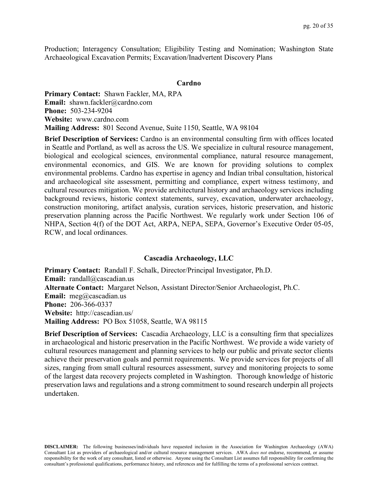Production; Interagency Consultation; Eligibility Testing and Nomination; Washington State Archaeological Excavation Permits; Excavation/Inadvertent Discovery Plans

#### **Cardno**

**Primary Contact:** Shawn Fackler, MA, RPA **Email:** shawn.fackler@cardno.com **Phone:** 503-234-9204 **Website:** www.cardno.com **Mailing Address:** 801 Second Avenue, Suite 1150, Seattle, WA 98104

**Brief Description of Services:** Cardno is an environmental consulting firm with offices located in Seattle and Portland, as well as across the US. We specialize in cultural resource management, biological and ecological sciences, environmental compliance, natural resource management, environmental economics, and GIS. We are known for providing solutions to complex environmental problems. Cardno has expertise in agency and Indian tribal consultation, historical and archaeological site assessment, permitting and compliance, expert witness testimony, and cultural resources mitigation. We provide architectural history and archaeology services including background reviews, historic context statements, survey, excavation, underwater archaeology, construction monitoring, artifact analysis, curation services, historic preservation, and historic preservation planning across the Pacific Northwest. We regularly work under Section 106 of NHPA, Section 4(f) of the DOT Act, ARPA, NEPA, SEPA, Governor's Executive Order 05-05, RCW, and local ordinances.

#### **Cascadia Archaeology, LLC**

**Primary Contact:** Randall F. Schalk, Director/Principal Investigator, Ph.D. **Email:** randall@cascadian.us **Alternate Contact:** Margaret Nelson, Assistant Director/Senior Archaeologist, Ph.C. **Email:** meg@cascadian.us **Phone:** 206-366-0337 **Website:** http://cascadian.us/ **Mailing Address:** PO Box 51058, Seattle, WA 98115

**Brief Description of Services:** Cascadia Archaeology, LLC is a consulting firm that specializes in archaeological and historic preservation in the Pacific Northwest. We provide a wide variety of cultural resources management and planning services to help our public and private sector clients achieve their preservation goals and permit requirements. We provide services for projects of all sizes, ranging from small cultural resources assessment, survey and monitoring projects to some of the largest data recovery projects completed in Washington. Thorough knowledge of historic preservation laws and regulations and a strong commitment to sound research underpin all projects undertaken.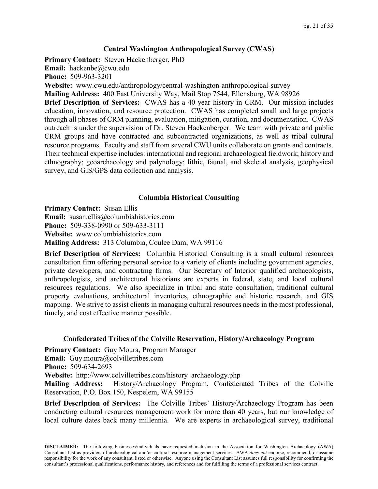## **Central Washington Anthropological Survey (CWAS)**

**Primary Contact:** Steven Hackenberger, PhD **Email:** hackenbe@cwu.edu **Phone:** 509-963-3201 **Website:** www.cwu.edu/anthropology/central-washington-anthropological-survey **Mailing Address:** 400 East University Way, Mail Stop 7544, Ellensburg, WA 98926 **Brief Description of Services:** CWAS has a 40-year history in CRM. Our mission includes education, innovation, and resource protection. CWAS has completed small and large projects through all phases of CRM planning, evaluation, mitigation, curation, and documentation. CWAS outreach is under the supervision of Dr. Steven Hackenberger. We team with private and public CRM groups and have contracted and subcontracted organizations, as well as tribal cultural resource programs. Faculty and staff from several CWU units collaborate on grants and contracts. Their technical expertise includes: international and regional archaeological fieldwork; history and ethnography; geoarchaeology and palynology; lithic, faunal, and skeletal analysis, geophysical survey, and GIS/GPS data collection and analysis.

## **Columbia Historical Consulting**

**Primary Contact:** Susan Ellis

**Email:** susan.ellis@columbiahistorics.com

**Phone:** 509-338-0990 or 509-633-3111

**Website:** www.columbiahistorics.com

**Mailing Address:** 313 Columbia, Coulee Dam, WA 99116

**Brief Description of Services:** Columbia Historical Consulting is a small cultural resources consultation firm offering personal service to a variety of clients including government agencies, private developers, and contracting firms. Our Secretary of Interior qualified archaeologists, anthropologists, and architectural historians are experts in federal, state, and local cultural resources regulations. We also specialize in tribal and state consultation, traditional cultural property evaluations, architectural inventories, ethnographic and historic research, and GIS mapping. We strive to assist clients in managing cultural resources needs in the most professional, timely, and cost effective manner possible.

## **Confederated Tribes of the Colville Reservation, History/Archaeology Program**

**Primary Contact:** Guy Moura, Program Manager **Email:** Guy.moura@colvilletribes.com **Phone:** 509-634-2693 **Website:** http://www.colvilletribes.com/history\_archaeology.php

**Mailing Address:** History/Archaeology Program, Confederated Tribes of the Colville

Reservation, P.O. Box 150, Nespelem, WA 99155

**Brief Description of Services:** The Colville Tribes' History/Archaeology Program has been conducting cultural resources management work for more than 40 years, but our knowledge of local culture dates back many millennia. We are experts in archaeological survey, traditional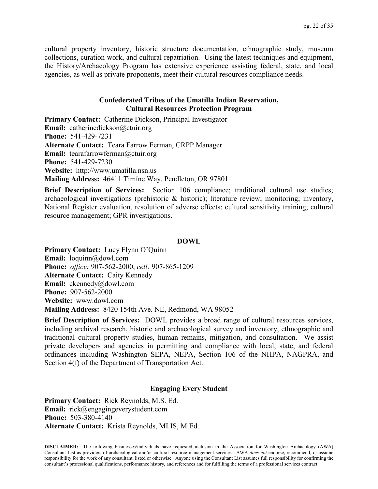cultural property inventory, historic structure documentation, ethnographic study, museum collections, curation work, and cultural repatriation. Using the latest techniques and equipment, the History/Archaeology Program has extensive experience assisting federal, state, and local agencies, as well as private proponents, meet their cultural resources compliance needs.

## **Confederated Tribes of the Umatilla Indian Reservation, Cultural Resources Protection Program**

**Primary Contact:** Catherine Dickson, Principal Investigator **Email:** catherinedickson@ctuir.org **Phone:** 541-429-7231 **Alternate Contact:** Teara Farrow Ferman, CRPP Manager **Email:** tearafarrowferman@ctuir.org **Phone:** 541-429-7230 **Website:** http://www.umatilla.nsn.us **Mailing Address:** 46411 Timíne Way, Pendleton, OR 97801

**Brief Description of Services:** Section 106 compliance; traditional cultural use studies; archaeological investigations (prehistoric & historic); literature review; monitoring; inventory, National Register evaluation, resolution of adverse effects; cultural sensitivity training; cultural resource management; GPR investigations.

#### **DOWL**

**Primary Contact:** Lucy Flynn O'Quinn **Email:** loquinn@dowl.com **Phone:** *office:* 907-562-2000, *cell:* 907-865-1209 **Alternate Contact:** Caity Kennedy **Email:** ckennedy@dowl.com **Phone:** 907-562-2000 **Website:** www.dowl.com **Mailing Address:** 8420 154th Ave. NE, Redmond, WA 98052

**Brief Description of Services:** DOWL provides a broad range of cultural resources services, including archival research, historic and archaeological survey and inventory, ethnographic and traditional cultural property studies, human remains, mitigation, and consultation. We assist private developers and agencies in permitting and compliance with local, state, and federal ordinances including Washington SEPA, NEPA, Section 106 of the NHPA, NAGPRA, and Section 4(f) of the Department of Transportation Act.

## **Engaging Every Student**

**Primary Contact:** Rick Reynolds, M.S. Ed. **Email:** rick@engagingeverystudent.com **Phone:** 503-380-4140 **Alternate Contact:** Krista Reynolds, MLIS, M.Ed.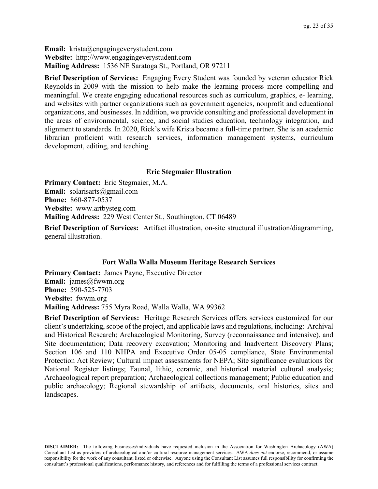**Email:** krista@engagingeverystudent.com **Website:** http://www.engagingeverystudent.com **Mailing Address:** 1536 NE Saratoga St., Portland, OR 97211

**Brief Description of Services:** Engaging Every Student was founded by veteran educator Rick Reynolds in 2009 with the mission to help make the learning process more compelling and meaningful. We create engaging educational resources such as curriculum, graphics, e- learning, and websites with partner organizations such as government agencies, nonprofit and educational organizations, and businesses. In addition, we provide consulting and professional development in the areas of environmental, science, and social studies education, technology integration, and alignment to standards. In 2020, Rick's wife Krista became a full-time partner. She is an academic librarian proficient with research services, information management systems, curriculum development, editing, and teaching.

#### **Eric Stegmaier Illustration**

**Primary Contact:** Eric Stegmaier, M.A. **Email:** solarisarts@gmail.com **Phone:** 860-877-0537 **Website:** www.artbysteg.com **Mailing Address:** 229 West Center St., Southington, CT 06489

**Brief Description of Services:** Artifact illustration, on-site structural illustration/diagramming, general illustration.

## **Fort Walla Walla Museum Heritage Research Services**

**Primary Contact:** James Payne, Executive Director **Email:** james@fwwm.org **Phone:** 590-525-7703 **Website:** fwwm.org **Mailing Address:** 755 Myra Road, Walla Walla, WA 99362

**Brief Description of Services:** Heritage Research Services offers services customized for our client's undertaking, scope of the project, and applicable laws and regulations, including: Archival and Historical Research; Archaeological Monitoring, Survey (reconnaissance and intensive), and Site documentation; Data recovery excavation; Monitoring and Inadvertent Discovery Plans; Section 106 and 110 NHPA and Executive Order 05-05 compliance, State Environmental Protection Act Review; Cultural impact assessments for NEPA; Site significance evaluations for National Register listings; Faunal, lithic, ceramic, and historical material cultural analysis; Archaeological report preparation; Archaeological collections management; Public education and public archaeology; Regional stewardship of artifacts, documents, oral histories, sites and landscapes.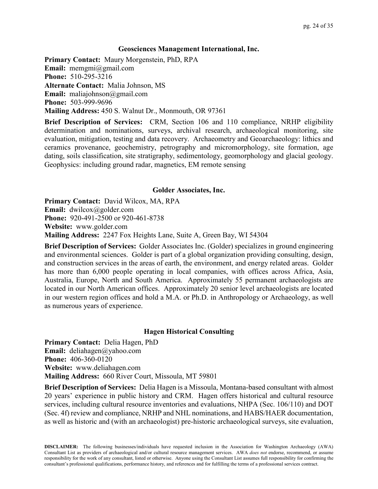## **Geosciences Management International, Inc.**

**Primary Contact:** Maury Morgenstein, PhD, RPA **Email:** memgmi@gmail.com **Phone:** 510-295-3216 **Alternate Contact:** Malia Johnson, MS **Email:** maliajohnson@gmail.com **Phone:** 503-999-9696 **Mailing Address:** 450 S. Walnut Dr., Monmouth, OR 97361

**Brief Description of Services:** CRM, Section 106 and 110 compliance, NRHP eligibility determination and nominations, surveys, archival research, archaeological monitoring, site evaluation, mitigation, testing and data recovery. Archaeometry and Geoarchaeology: lithics and ceramics provenance, geochemistry, petrography and micromorphology, site formation, age dating, soils classification, site stratigraphy, sedimentology, geomorphology and glacial geology. Geophysics: including ground radar, magnetics, EM remote sensing

## **Golder Associates, Inc.**

**Primary Contact:** David Wilcox, MA, RPA **Email:** dwilcox@golder.com **Phone:** 920-491-2500 or 920-461-8738 **Website:** www.golder.com **Mailing Address:** 2247 Fox Heights Lane, Suite A, Green Bay, WI 54304

**Brief Description of Services:** Golder Associates Inc. (Golder) specializes in ground engineering and environmental sciences. Golder is part of a global organization providing consulting, design, and construction services in the areas of earth, the environment, and energy related areas. Golder has more than 6,000 people operating in local companies, with offices across Africa, Asia, Australia, Europe, North and South America. Approximately 55 permanent archaeologists are located in our North American offices. Approximately 20 senior level archaeologists are located in our western region offices and hold a M.A. or Ph.D. in Anthropology or Archaeology, as well as numerous years of experience.

## **Hagen Historical Consulting**

**Primary Contact:** Delia Hagen, PhD **Email:** deliahagen@yahoo.com **Phone:** 406-360-0120 **Website:** www.deliahagen.com **Mailing Address:** 660 River Court, Missoula, MT 59801

**Brief Description of Services:** Delia Hagen is a Missoula, Montana-based consultant with almost 20 years' experience in public history and CRM. Hagen offers historical and cultural resource services, including cultural resource inventories and evaluations, NHPA (Sec. 106/110) and DOT (Sec. 4f) review and compliance, NRHP and NHL nominations, and HABS/HAER documentation, as well as historic and (with an archaeologist) pre-historic archaeological surveys, site evaluation,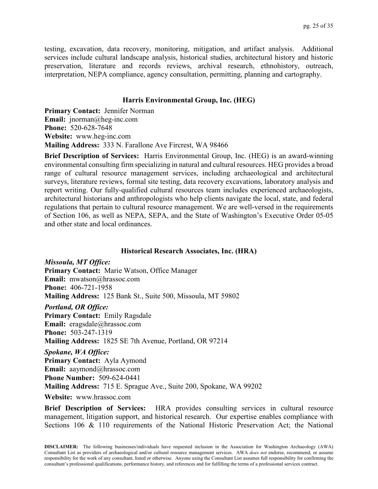testing, excavation, data recovery, monitoring, mitigation, and artifact analysis. Additional services include cultural landscape analysis, historical studies, architectural history and historic preservation, literature and records reviews, archival research, ethnohistory, outreach, interpretation, NEPA compliance, agency consultation, permitting, planning and cartography.

## **Harris Environmental Group, Inc. (HEG)**

**Primary Contact:** Jennifer Norman **Email:** jnorman@heg-inc.com **Phone:** 520-628-7648 **Website:** www.heg-inc.com **Mailing Address:** 333 N. Farallone Ave Fircrest, WA 98466

**Brief Description of Services:** Harris Environmental Group, Inc. (HEG) is an award-winning environmental consulting firm specializing in natural and cultural resources. HEG provides a broad range of cultural resource management services, including archaeological and architectural surveys, literature reviews, formal site testing, data recovery excavations, laboratory analysis and report writing. Our fully-qualified cultural resources team includes experienced archaeologists, architectural historians and anthropologists who help clients navigate the local, state, and federal regulations that pertain to cultural resource management. We are well-versed in the requirements of Section 106, as well as NEPA, SEPA, and the State of Washington's Executive Order 05-05 and other state and local ordinances.

#### **Historical Research Associates, Inc. (HRA)**

*Missoula, MT Office:* **Primary Contact:** Marie Watson, Office Manager **Email:** mwatson@hrassoc.com **Phone:** 406-721-1958 **Mailing Address:** 125 Bank St., Suite 500, Missoula, MT 59802 *Portland, OR Office:* **Primary Contact:** Emily Ragsdale **Email:** eragsdale@hrassoc.com **Phone:** 503-247-1319 **Mailing Address:** 1825 SE 7th Avenue, Portland, OR 97214 *Spokane, WA Office:*

**Primary Contact:** Ayla Aymond **Email:** aaymond@hrassoc.com **Phone Number:** 509-624-0441 **Mailing Address:** 715 E. Sprague Ave., Suite 200, Spokane, WA 99202

**Website:** www.hrassoc.com

**Brief Description of Services:** HRA provides consulting services in cultural resource management, litigation support, and historical research. Our expertise enables compliance with Sections 106 & 110 requirements of the National Historic Preservation Act; the National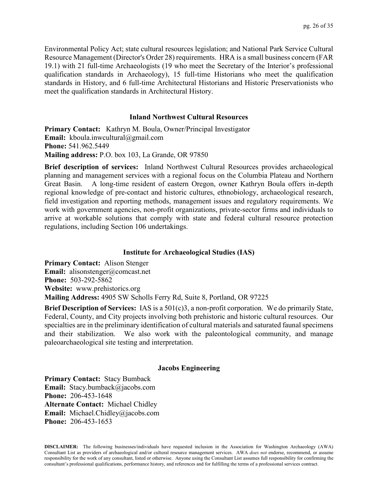Environmental Policy Act; state cultural resources legislation; and National Park Service Cultural Resource Management (Director's Order 28) requirements. HRA is a small business concern (FAR 19.1) with 21 full-time Archaeologists (19 who meet the Secretary of the Interior's professional qualification standards in Archaeology), 15 full-time Historians who meet the qualification standards in History, and 6 full-time Architectural Historians and Historic Preservationists who meet the qualification standards in Architectural History.

## **Inland Northwest Cultural Resources**

**Primary Contact:** Kathryn M. Boula, Owner/Principal Investigator **Email:** kboula.inwcultural@gmail.com **Phone:** 541.962.5449 **Mailing address:** P.O. box 103, La Grande, OR 97850

**Brief description of services:** Inland Northwest Cultural Resources provides archaeological planning and management services with a regional focus on the Columbia Plateau and Northern Great Basin. A long-time resident of eastern Oregon, owner Kathryn Boula offers in-depth regional knowledge of pre-contact and historic cultures, ethnobiology, archaeological research, field investigation and reporting methods, management issues and regulatory requirements. We work with government agencies, non-profit organizations, private-sector firms and individuals to arrive at workable solutions that comply with state and federal cultural resource protection regulations, including Section 106 undertakings.

## **Institute for Archaeological Studies (IAS)**

**Primary Contact:** Alison Stenger **Email:** alisonstenger@comcast.net **Phone:** 503-292-5862 **Website:** www.prehistorics.org **Mailing Address:** 4905 SW Scholls Ferry Rd, Suite 8, Portland, OR 97225

**Brief Description of Services:** IAS is a 501(c)3, a non-profit corporation. We do primarily State, Federal, County, and City projects involving both prehistoric and historic cultural resources. Our specialties are in the preliminary identification of cultural materials and saturated faunal specimens and their stabilization. We also work with the paleontological community, and manage paleoarchaeological site testing and interpretation.

#### **Jacobs Engineering**

**Primary Contact:** Stacy Bumback **Email:** Stacy.bumback@jacobs.com **Phone:** 206-453-1648 **Alternate Contact:** Michael Chidley **Email:** Michael.Chidley@jacobs.com **Phone:** 206-453-1653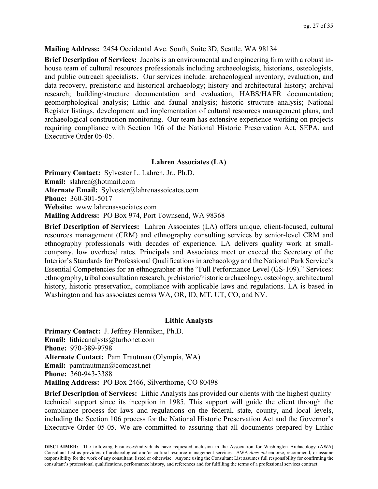## **Mailing Address:** 2454 Occidental Ave. South, Suite 3D, Seattle, WA 98134

**Brief Description of Services:** Jacobs is an environmental and engineering firm with a robust inhouse team of cultural resources professionals including archaeologists, historians, osteologists, and public outreach specialists. Our services include: archaeological inventory, evaluation, and data recovery, prehistoric and historical archaeology; history and architectural history; archival research; building/structure documentation and evaluation, HABS/HAER documentation; geomorphological analysis; Lithic and faunal analysis; historic structure analysis; National Register listings, development and implementation of cultural resources management plans, and archaeological construction monitoring. Our team has extensive experience working on projects requiring compliance with Section 106 of the National Historic Preservation Act, SEPA, and Executive Order 05-05.

## **Lahren Associates (LA)**

**Primary Contact:** Sylvester L. Lahren, Jr., Ph.D. **Email:** slahren@hotmail.com **Alternate Email:** Sylvester@lahrenassoicates.com **Phone:** 360-301-5017 **Website:** www.lahrenassociates.com **Mailing Address:** PO Box 974, Port Townsend, WA 98368

**Brief Description of Services:** Lahren Associates (LA) offers unique, client-focused, cultural resources management (CRM) and ethnography consulting services by senior-level CRM and ethnography professionals with decades of experience. LA delivers quality work at smallcompany, low overhead rates. Principals and Associates meet or exceed the Secretary of the Interior's Standards for Professional Qualifications in archaeology and the National Park Service's Essential Competencies for an ethnographer at the "Full Performance Level (GS-109)." Services: ethnography, tribal consultation research, prehistoric/historic archaeology, osteology, architectural history, historic preservation, compliance with applicable laws and regulations. LA is based in Washington and has associates across WA, OR, ID, MT, UT, CO, and NV.

## **Lithic Analysts**

**Primary Contact:** J. Jeffrey Flenniken, Ph.D. **Email:** lithicanalysts@turbonet.com **Phone:** 970-389-9798 **Alternate Contact:** Pam Trautman (Olympia, WA) **Email:** pamtrautman@comcast.net **Phone:** 360-943-3388 **Mailing Address:** PO Box 2466, Silverthorne, CO 80498

**Brief Description of Services:** Lithic Analysts has provided our clients with the highest quality technical support since its inception in 1985. This support will guide the client through the compliance process for laws and regulations on the federal, state, county, and local levels, including the Section 106 process for the National Historic Preservation Act and the Governor's Executive Order 05-05. We are committed to assuring that all documents prepared by Lithic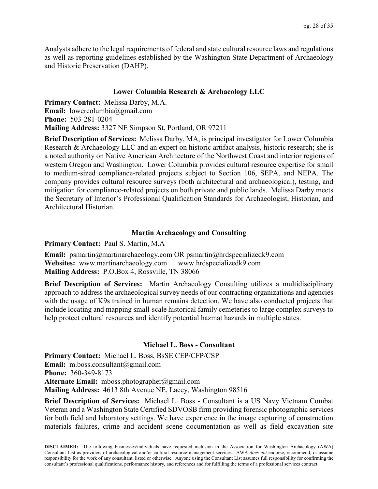Analysts adhere to the legal requirements of federal and state cultural resource laws and regulations as well as reporting guidelines established by the Washington State Department of Archaeology and Historic Preservation (DAHP).

## **Lower Columbia Research & Archaeology LLC**

**Primary Contact:** Melissa Darby, M.A. **Email:** lowercolumbia@gmail.com **Phone:** 503-281-0204 **Mailing Address:** 3327 NE Simpson St, Portland, OR 97211

**Brief Description of Services:** Melissa Darby, MA, is principal investigator for Lower Columbia Research & Archaeology LLC and an expert on historic artifact analysis, historic research; she is a noted authority on Native American Architecture of the Northwest Coast and interior regions of western Oregon and Washington. Lower Columbia provides cultural resource expertise for small to medium-sized compliance-related projects subject to Section 106, SEPA, and NEPA. The company provides cultural resource surveys (both architectural and archaeological), testing, and mitigation for compliance-related projects on both private and public lands. Melissa Darby meets the Secretary of Interior's Professional Qualification Standards for Archaeologist, Historian, and Architectural Historian.

## **Martin Archaeology and Consulting**

**Primary Contact:** Paul S. Martin, M.A

**Email:** psmartin@martinarchaeology.com OR psmartin@hrdspecializedk9.com **Websites:** www.martinarchaeology.com www.hrdspecializedk9.com **Mailing Address:** P.O.Box 4, Rossville, TN 38066

**Brief Description of Services:** Martin Archaeology Consulting utilizes a multidisciplinary approach to address the archaeological survey needs of our contracting organizations and agencies with the usage of K9s trained in human remains detection. We have also conducted projects that include locating and mapping small-scale historical family cemeteries to large complex surveys to help protect cultural resources and identify potential hazmat hazards in multiple states.

#### **Michael L. Boss - Consultant**

**Primary Contact:** Michael L. Boss, BsSE CEP/CFP/CSP **Email:** m.boss.consultant@gmail.com **Phone:** 360-349-8173 **Alternate Email:** mboss.photographer@gmail.com **Mailing Address:** 4613 8th Avenue NE, Lacey, Washington 98516

**Brief Description of Services:** Michael L. Boss - Consultant is a US Navy Vietnam Combat Veteran and a Washington State Certified SDVOSB firm providing forensic photographic services for both field and laboratory settings. We have experience in the image capturing of construction materials failures, crime and accident scene documentation as well as field excavation site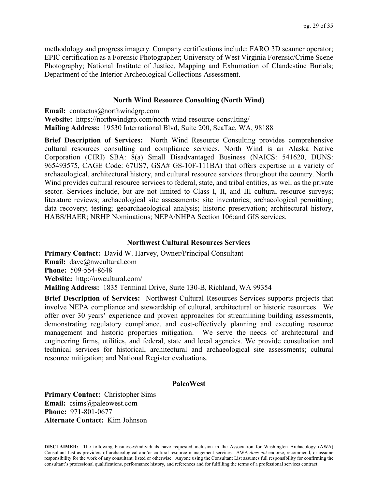methodology and progress imagery. Company certifications include: FARO 3D scanner operator; EPIC certification as a Forensic Photographer; University of West Virginia Forensic/Crime Scene Photography; National Institute of Justice, Mapping and Exhumation of Clandestine Burials; Department of the Interior Archeological Collections Assessment.

#### **North Wind Resource Consulting (North Wind)**

**Email:** contactus@northwindgrp.com **Website:** https://northwindgrp.com/north-wind-resource-consulting/ **Mailing Address:** 19530 International Blvd, Suite 200, SeaTac, WA, 98188

**Brief Description of Services:** North Wind Resource Consulting provides comprehensive cultural resources consulting and compliance services. North Wind is an Alaska Native Corporation (CIRI) SBA: 8(a) Small Disadvantaged Business (NAICS: 541620, DUNS: 965493575, CAGE Code: 67US7, GSA# GS-10F-111BA) that offers expertise in a variety of archaeological, architectural history, and cultural resource services throughout the country. North Wind provides cultural resource services to federal, state, and tribal entities, as well as the private sector. Services include, but are not limited to Class I, II, and III cultural resource surveys; literature reviews; archaeological site assessments; site inventories; archaeological permitting; data recovery; testing; geoarchaeological analysis; historic preservation; architectural history, HABS/HAER; NRHP Nominations; NEPA/NHPA Section 106;and GIS services.

#### **Northwest Cultural Resources Services**

**Primary Contact:** David W. Harvey, Owner/Principal Consultant **Email:** dave@nwcultural.com **Phone:** 509-554-8648 **Website:** http://nwcultural.com/ **Mailing Address:** 1835 Terminal Drive, Suite 130-B, Richland, WA 99354

**Brief Description of Services:** Northwest Cultural Resources Services supports projects that involve NEPA compliance and stewardship of cultural, architectural or historic resources. We offer over 30 years' experience and proven approaches for streamlining building assessments, demonstrating regulatory compliance, and cost-effectively planning and executing resource management and historic properties mitigation. We serve the needs of architectural and engineering firms, utilities, and federal, state and local agencies. We provide consultation and technical services for historical, architectural and archaeological site assessments; cultural resource mitigation; and National Register evaluations.

#### **PaleoWest**

**Primary Contact:** Christopher Sims **Email:** csims@paleowest.com **Phone:** 971-801-0677 **Alternate Contact:** Kim Johnson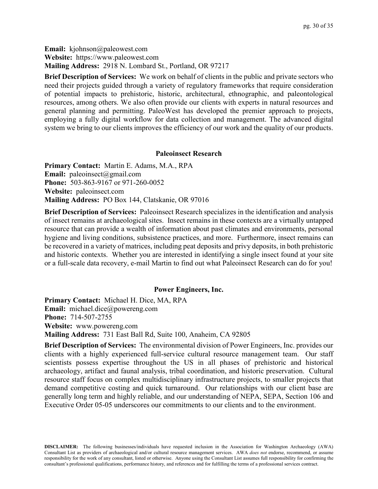**Email:** kjohnson@paleowest.com **Website:** https://www.paleowest.com **Mailing Address:** 2918 N. Lombard St., Portland, OR 97217

**Brief Description of Services:** We work on behalf of clients in the public and private sectors who need their projects guided through a variety of regulatory frameworks that require consideration of potential impacts to prehistoric, historic, architectural, ethnographic, and paleontological resources, among others. We also often provide our clients with experts in natural resources and general planning and permitting. PaleoWest has developed the premier approach to projects, employing a fully digital workflow for data collection and management. The advanced digital system we bring to our clients improves the efficiency of our work and the quality of our products.

#### **Paleoinsect Research**

**Primary Contact:** Martin E. Adams, M.A., RPA **Email:** paleoinsect@gmail.com **Phone:** 503-863-9167 or 971-260-0052 **Website:** paleoinsect.com **Mailing Address:** PO Box 144, Clatskanie, OR 97016

**Brief Description of Services:** Paleoinsect Research specializes in the identification and analysis of insect remains at archaeological sites. Insect remains in these contexts are a virtually untapped resource that can provide a wealth of information about past climates and environments, personal hygiene and living conditions, subsistence practices, and more. Furthermore, insect remains can be recovered in a variety of matrices, including peat deposits and privy deposits, in both prehistoric and historic contexts. Whether you are interested in identifying a single insect found at your site or a full-scale data recovery, e-mail Martin to find out what Paleoinsect Research can do for you!

## **Power Engineers, Inc.**

**Primary Contact:** Michael H. Dice, MA, RPA **Email:** michael.dice@powereng.com **Phone:** 714-507-2755 **Website:** www.powereng.com **Mailing Address:** 731 East Ball Rd, Suite 100, Anaheim, CA 92805

**Brief Description of Services:** The environmental division of Power Engineers, Inc. provides our clients with a highly experienced full-service cultural resource management team. Our staff scientists possess expertise throughout the US in all phases of prehistoric and historical archaeology, artifact and faunal analysis, tribal coordination, and historic preservation. Cultural resource staff focus on complex multidisciplinary infrastructure projects, to smaller projects that demand competitive costing and quick turnaround. Our relationships with our client base are generally long term and highly reliable, and our understanding of NEPA, SEPA, Section 106 and Executive Order 05-05 underscores our commitments to our clients and to the environment.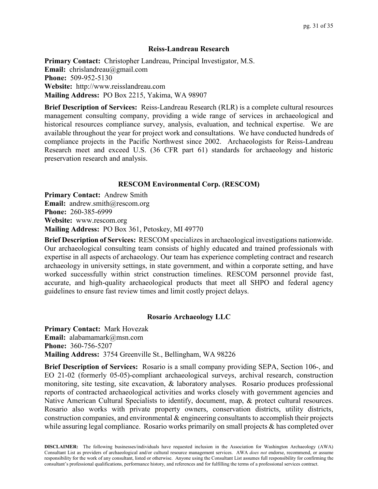#### **Reiss-Landreau Research**

**Primary Contact:** Christopher Landreau, Principal Investigator, M.S. **Email:** chrislandreau@gmail.com **Phone:** 509-952-5130 **Website:** http://www.reisslandreau.com **Mailing Address:** PO Box 2215, Yakima, WA 98907

**Brief Description of Services:** Reiss-Landreau Research (RLR) is a complete cultural resources management consulting company, providing a wide range of services in archaeological and historical resources compliance survey, analysis, evaluation, and technical expertise. We are available throughout the year for project work and consultations. We have conducted hundreds of compliance projects in the Pacific Northwest since 2002. Archaeologists for Reiss-Landreau Research meet and exceed U.S. (36 CFR part 61) standards for archaeology and historic preservation research and analysis.

## **RESCOM Environmental Corp. (RESCOM)**

**Primary Contact:** Andrew Smith **Email:** andrew.smith@rescom.org **Phone:** 260-385-6999 **Website:** www.rescom.org **Mailing Address:** PO Box 361, Petoskey, MI 49770

**Brief Description of Services:** RESCOM specializes in archaeological investigations nationwide. Our archaeological consulting team consists of highly educated and trained professionals with expertise in all aspects of archaeology. Our team has experience completing contract and research archaeology in university settings, in state government, and within a corporate setting, and have worked successfully within strict construction timelines. RESCOM personnel provide fast, accurate, and high-quality archaeological products that meet all SHPO and federal agency guidelines to ensure fast review times and limit costly project delays.

## **Rosario Archaeology LLC**

**Primary Contact:** Mark Hovezak **Email:** alabamamark@msn.com **Phone:** 360-756-5207 **Mailing Address:** 3754 Greenville St., Bellingham, WA 98226

**Brief Description of Services:** Rosario is a small company providing SEPA, Section 106-, and EO 21-02 (formerly 05-05)-compliant archaeological surveys, archival research, construction monitoring, site testing, site excavation, & laboratory analyses. Rosario produces professional reports of contracted archaeological activities and works closely with government agencies and Native American Cultural Specialists to identify, document, map, & protect cultural resources. Rosario also works with private property owners, conservation districts, utility districts, construction companies, and environmental & engineering consultants to accomplish their projects while assuring legal compliance. Rosario works primarily on small projects & has completed over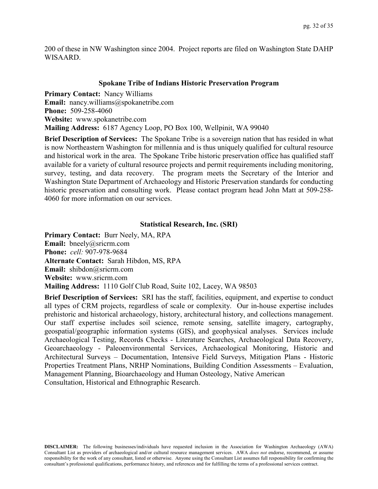200 of these in NW Washington since 2004. Project reports are filed on Washington State DAHP WISAARD.

## **Spokane Tribe of Indians Historic Preservation Program**

**Primary Contact:** Nancy Williams **Email:** nancy.williams@spokanetribe.com **Phone:** 509-258-4060 **Website:** www.spokanetribe.com **Mailing Address:** 6187 Agency Loop, PO Box 100, Wellpinit, WA 99040

**Brief Description of Services:** The Spokane Tribe is a sovereign nation that has resided in what is now Northeastern Washington for millennia and is thus uniquely qualified for cultural resource and historical work in the area. The Spokane Tribe historic preservation office has qualified staff available for a variety of cultural resource projects and permit requirements including monitoring, survey, testing, and data recovery. The program meets the Secretary of the Interior and Washington State Department of Archaeology and Historic Preservation standards for conducting historic preservation and consulting work. Please contact program head John Matt at 509-258- 4060 for more information on our services.

## **Statistical Research, Inc. (SRI)**

**Primary Contact:** Burr Neely, MA, RPA **Email:** bneely@sricrm.com **Phone:** *cell:* 907-978-9684 **Alternate Contact:** Sarah Hibdon, MS, RPA **Email:** shibdon@sricrm.com **Website:** www.sricrm.com **Mailing Address:** 1110 Golf Club Road, Suite 102, Lacey, WA 98503

**Brief Description of Services:** SRI has the staff, facilities, equipment, and expertise to conduct all types of CRM projects, regardless of scale or complexity. Our in-house expertise includes prehistoric and historical archaeology, history, architectural history, and collections management. Our staff expertise includes soil science, remote sensing, satellite imagery, cartography, geospatial/geographic information systems (GIS), and geophysical analyses. Services include Archaeological Testing, Records Checks - Literature Searches, Archaeological Data Recovery, Geoarchaeology - Paleoenvironmental Services, Archaeological Monitoring, Historic and Architectural Surveys – Documentation, Intensive Field Surveys, Mitigation Plans - Historic Properties Treatment Plans, NRHP Nominations, Building Condition Assessments – Evaluation, Management Planning, Bioarchaeology and Human Osteology, Native American Consultation, Historical and Ethnographic Research.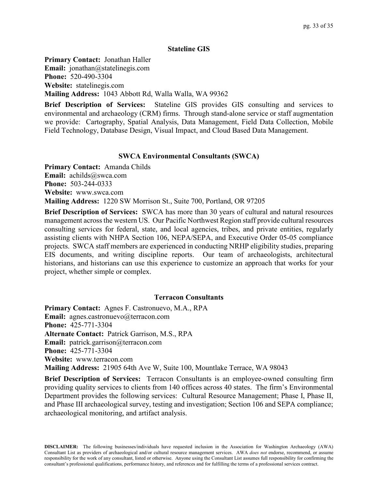## **Stateline GIS**

**Primary Contact:** Jonathan Haller **Email:** jonathan@statelinegis.com **Phone:** 520-490-3304 **Website:** statelinegis.com **Mailing Address:** 1043 Abbott Rd, Walla Walla, WA 99362

**Brief Description of Services:** Stateline GIS provides GIS consulting and services to environmental and archaeology (CRM) firms. Through stand-alone service or staff augmentation we provide: Cartography, Spatial Analysis, Data Management, Field Data Collection, Mobile Field Technology, Database Design, Visual Impact, and Cloud Based Data Management.

## **SWCA Environmental Consultants (SWCA)**

**Primary Contact:** Amanda Childs **Email:** achilds@swca.com **Phone:** 503-244-0333 **Website:** www.swca.com **Mailing Address:** 1220 SW Morrison St., Suite 700, Portland, OR 97205

**Brief Description of Services:** SWCA has more than 30 years of cultural and natural resources management across the western US. Our Pacific Northwest Region staff provide cultural resources consulting services for federal, state, and local agencies, tribes, and private entities, regularly assisting clients with NHPA Section 106, NEPA/SEPA, and Executive Order 05-05 compliance projects. SWCA staff members are experienced in conducting NRHP eligibility studies, preparing EIS documents, and writing discipline reports. Our team of archaeologists, architectural historians, and historians can use this experience to customize an approach that works for your project, whether simple or complex.

## **Terracon Consultants**

**Primary Contact:** Agnes F. Castronuevo, M.A., RPA **Email:** agnes.castronuevo@terracon.com **Phone:** 425-771-3304 **Alternate Contact:** Patrick Garrison, M.S., RPA **Email:** patrick.garrison@terracon.com **Phone:** 425-771-3304 **Website:** www.terracon.com **Mailing Address:** 21905 64th Ave W, Suite 100, Mountlake Terrace, WA 98043

**Brief Description of Services:** Terracon Consultants is an employee-owned consulting firm providing quality services to clients from 140 offices across 40 states. The firm's Environmental Department provides the following services: Cultural Resource Management; Phase I, Phase II, and Phase III archaeological survey, testing and investigation; Section 106 and SEPA compliance; archaeological monitoring, and artifact analysis.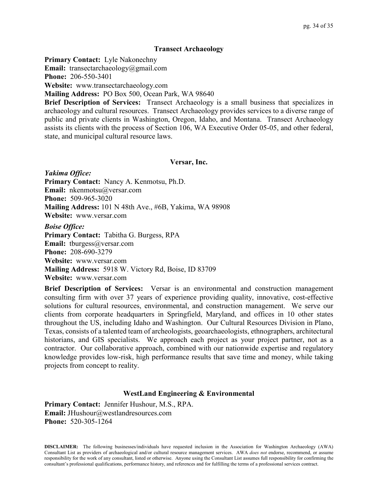#### **Transect Archaeology**

**Primary Contact:** Lyle Nakonechny

**Email:** transectarchaeology@gmail.com

**Phone:** 206-550-3401

**Website:** www.transectarchaeology.com

**Mailing Address:** PO Box 500, Ocean Park, WA 98640

**Brief Description of Services:** Transect Archaeology is a small business that specializes in archaeology and cultural resources. Transect Archaeology provides services to a diverse range of public and private clients in Washington, Oregon, Idaho, and Montana. Transect Archaeology assists its clients with the process of Section 106, WA Executive Order 05-05, and other federal, state, and municipal cultural resource laws.

#### **Versar, Inc.**

*Yakima Office:* **Primary Contact:** Nancy A. Kenmotsu, Ph.D. **Email:** nkenmotsu@versar.com **Phone:** 509-965-3020 **Mailing Address:** 101 N 48th Ave., #6B, Yakima, WA 98908 **Website:** www.versar.com

*Boise Office:* **Primary Contact:** Tabitha G. Burgess, RPA **Email:** tburgess@versar.com **Phone:** 208-690-3279 **Website:** www.versar.com **Mailing Address:** 5918 W. Victory Rd, Boise, ID 83709 **Website:** www.versar.com

**Brief Description of Services:** Versar is an environmental and construction management consulting firm with over 37 years of experience providing quality, innovative, cost-effective solutions for cultural resources, environmental, and construction management. We serve our clients from corporate headquarters in Springfield, Maryland, and offices in 10 other states throughout the US, including Idaho and Washington. Our Cultural Resources Division in Plano, Texas, consists of a talented team of archeologists, geoarchaeologists, ethnographers, architectural historians, and GIS specialists. We approach each project as your project partner, not as a contractor. Our collaborative approach, combined with our nationwide expertise and regulatory knowledge provides low-risk, high performance results that save time and money, while taking projects from concept to reality.

## **WestLand Engineering & Environmental**

**Primary Contact:** Jennifer Hushour, M.S., RPA. **Email:** JHushour@westlandresources.com **Phone:** 520-305-1264